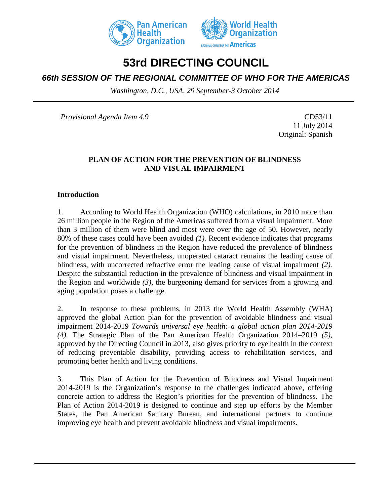



# **53rd DIRECTING COUNCIL**

# *66th SESSION OF THE REGIONAL COMMITTEE OF WHO FOR THE AMERICAS*

*Washington, D.C., USA, 29 September-3 October 2014*

*Provisional Agenda Item 4.9* CD53/11

11 July 2014 Original: Spanish

## **PLAN OF ACTION FOR THE PREVENTION OF BLINDNESS AND VISUAL IMPAIRMENT**

### **Introduction**

1. According to World Health Organization (WHO) calculations, in 2010 more than 26 million people in the Region of the Americas suffered from a visual impairment. More than 3 million of them were blind and most were over the age of 50. However, nearly 80% of these cases could have been avoided *(1).* Recent evidence indicates that programs for the prevention of blindness in the Region have reduced the prevalence of blindness and visual impairment. Nevertheless, unoperated cataract remains the leading cause of blindness, with uncorrected refractive error the leading cause of visual impairment *(2).*  Despite the substantial reduction in the prevalence of blindness and visual impairment in the Region and worldwide *(3)*, the burgeoning demand for services from a growing and aging population poses a challenge.

2. In response to these problems, in 2013 the World Health Assembly (WHA) approved the global Action plan for the prevention of avoidable blindness and visual impairment 2014-2019 *Towards universal eye health: a global action plan 2014-2019 (4).* The Strategic Plan of the Pan American Health Organization 2014*–*2019 *(5)*, approved by the Directing Council in 2013, also gives priority to eye health in the context of reducing preventable disability, providing access to rehabilitation services, and promoting better health and living conditions.

3. This Plan of Action for the Prevention of Blindness and Visual Impairment 2014-2019 is the Organization's response to the challenges indicated above, offering concrete action to address the Region's priorities for the prevention of blindness. The Plan of Action 2014-2019 is designed to continue and step up efforts by the Member States, the Pan American Sanitary Bureau, and international partners to continue improving eye health and prevent avoidable blindness and visual impairments.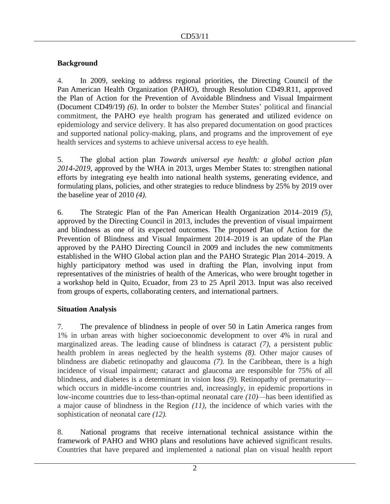## **Background**

4. In 2009, seeking to address regional priorities, the Directing Council of the Pan American Health Organization (PAHO), through Resolution CD49.R11, approved the Plan of Action for the Prevention of Avoidable Blindness and Visual Impairment (Document CD49/19) *(6)*. In order to bolster the Member States' political and financial commitment, the PAHO eye health program has generated and utilized evidence on epidemiology and service delivery. It has also prepared documentation on good practices and supported national policy-making, plans, and programs and the improvement of eye health services and systems to achieve universal access to eye health.

5. The global action plan *Towards universal eye health: a global action plan 2014-2019,* approved by the WHA in 2013, urges Member States to: strengthen national efforts by integrating eye health into national health systems, generating evidence, and formulating plans, policies, and other strategies to reduce blindness by 25% by 2019 over the baseline year of 2010 *(4).*

6. The Strategic Plan of the Pan American Health Organization 2014–2019 *(5)*, approved by the Directing Council in 2013, includes the prevention of visual impairment and blindness as one of its expected outcomes. The proposed Plan of Action for the Prevention of Blindness and Visual Impairment 2014–2019 is an update of the Plan approved by the PAHO Directing Council in 2009 and includes the new commitments established in the WHO Global action plan and the PAHO Strategic Plan 2014–2019. A highly participatory method was used in drafting the Plan, involving input from representatives of the ministries of health of the Americas, who were brought together in a workshop held in Quito, Ecuador, from 23 to 25 April 2013. Input was also received from groups of experts, collaborating centers, and international partners.

## **Situation Analysis**

7. The prevalence of blindness in people of over 50 in Latin America ranges from 1% in urban areas with higher socioeconomic development to over 4% in rural and marginalized areas. The leading cause of blindness is cataract *(7)*, a persistent public health problem in areas neglected by the health systems *(8).* Other major causes of blindness are diabetic retinopathy and glaucoma *(7).* In the Caribbean, there is a high incidence of visual impairment; cataract and glaucoma are responsible for 75% of all blindness, and diabetes is a determinant in vision loss (9). Retinopathy of prematurity which occurs in middle-income countries and, increasingly, in epidemic proportions in low-income countries due to less-than-optimal neonatal care *(10)––*has been identified as a major cause of blindness in the Region *(11)*, the incidence of which varies with the sophistication of neonatal care *(12).* 

8. National programs that receive international technical assistance within the framework of PAHO and WHO plans and resolutions have achieved significant results. Countries that have prepared and implemented a national plan on visual health report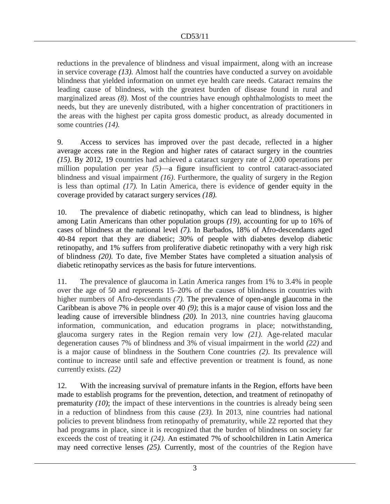reductions in the prevalence of blindness and visual impairment, along with an increase in service coverage *(13).* Almost half the countries have conducted a survey on avoidable blindness that yielded information on unmet eye health care needs. Cataract remains the leading cause of blindness, with the greatest burden of disease found in rural and marginalized areas *(8).* Most of the countries have enough ophthalmologists to meet the needs, but they are unevenly distributed, with a higher concentration of practitioners in the areas with the highest per capita gross domestic product, as already documented in some countries *(14).* 

9. Access to services has improved over the past decade, reflected in a higher average access rate in the Region and higher rates of cataract surgery in the countries *(15).* By 2012, 19 countries had achieved a cataract surgery rate of 2,000 operations per million population per year *(5)*—a figure insufficient to control cataract-associated blindness and visual impairment *(16)*. Furthermore, the quality of surgery in the Region is less than optimal *(17).* In Latin America, there is evidence of gender equity in the coverage provided by cataract surgery services *(18).*

10. The prevalence of diabetic retinopathy, which can lead to blindness, is higher among Latin Americans than other population groups *(19)*, accounting for up to 16% of cases of blindness at the national level *(7).* In Barbados, 18% of Afro-descendants aged 40-84 report that they are diabetic; 30% of people with diabetes develop diabetic retinopathy, and 1% suffers from proliferative diabetic retinopathy with a very high risk of blindness *(20).* To date, five Member States have completed a situation analysis of diabetic retinopathy services as the basis for future interventions.

11. The prevalence of glaucoma in Latin America ranges from 1% to 3.4% in people over the age of 50 and represents 15–20% of the causes of blindness in countries with higher numbers of Afro-descendants (7). The prevalence of open-angle glaucoma in the Caribbean is above 7% in people over 40 *(9)*; this is a major cause of vision loss and the leading cause of irreversible blindness *(20).* In 2013, nine countries having glaucoma information, communication, and education programs in place; notwithstanding, glaucoma surgery rates in the Region remain very low *(21).* Age-related macular degeneration causes 7% of blindness and 3% of visual impairment in the world *(22)* and is a major cause of blindness in the Southern Cone countries *(2)*. Its prevalence will continue to increase until safe and effective prevention or treatment is found, as none currently exists. *(22)*

12. With the increasing survival of premature infants in the Region, efforts have been made to establish programs for the prevention, detection, and treatment of retinopathy of prematurity *(10)*; the impact of these interventions in the countries is already being seen in a reduction of blindness from this cause *(23).* In 2013, nine countries had national policies to prevent blindness from retinopathy of prematurity, while 22 reported that they had programs in place, since it is recognized that the burden of blindness on society far exceeds the cost of treating it *(24).* An estimated 7% of schoolchildren in Latin America may need corrective lenses *(25).* Currently, most of the countries of the Region have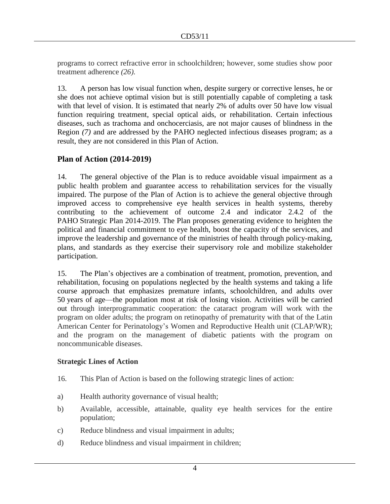programs to correct refractive error in schoolchildren; however, some studies show poor treatment adherence *(26).* 

13. A person has low visual function when, despite surgery or corrective lenses, he or she does not achieve optimal vision but is still potentially capable of completing a task with that level of vision. It is estimated that nearly 2% of adults over 50 have low visual function requiring treatment, special optical aids, or rehabilitation. Certain infectious diseases, such as trachoma and onchocerciasis, are not major causes of blindness in the Region *(7)* and are addressed by the PAHO neglected infectious diseases program; as a result, they are not considered in this Plan of Action.

## **Plan of Action (2014-2019)**

14. The general objective of the Plan is to reduce avoidable visual impairment as a public health problem and guarantee access to rehabilitation services for the visually impaired. The purpose of the Plan of Action is to achieve the general objective through improved access to comprehensive eye health services in health systems, thereby contributing to the achievement of outcome 2.4 and indicator 2.4.2 of the PAHO Strategic Plan 2014-2019. The Plan proposes generating evidence to heighten the political and financial commitment to eye health, boost the capacity of the services, and improve the leadership and governance of the ministries of health through policy-making, plans, and standards as they exercise their supervisory role and mobilize stakeholder participation.

15. The Plan's objectives are a combination of treatment, promotion, prevention, and rehabilitation, focusing on populations neglected by the health systems and taking a life course approach that emphasizes premature infants, schoolchildren, and adults over 50 years of age––the population most at risk of losing vision. Activities will be carried out through interprogrammatic cooperation: the cataract program will work with the program on older adults; the program on retinopathy of prematurity with that of the Latin American Center for Perinatology's Women and Reproductive Health unit (CLAP/WR); and the program on the management of diabetic patients with the program on noncommunicable diseases.

#### **Strategic Lines of Action**

- 16. This Plan of Action is based on the following strategic lines of action:
- a) Health authority governance of visual health;
- b) Available, accessible, attainable, quality eye health services for the entire population;
- c) Reduce blindness and visual impairment in adults;
- d) Reduce blindness and visual impairment in children;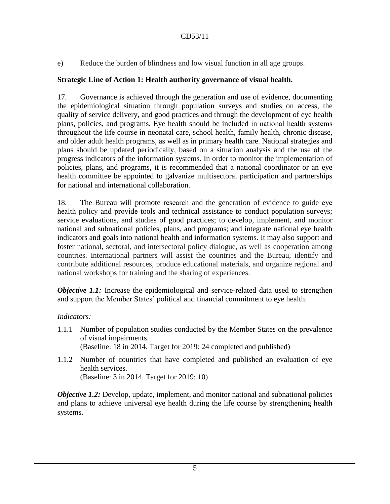e) Reduce the burden of blindness and low visual function in all age groups.

### **Strategic Line of Action 1: Health authority governance of visual health.**

17. Governance is achieved through the generation and use of evidence, documenting the epidemiological situation through population surveys and studies on access, the quality of service delivery, and good practices and through the development of eye health plans, policies, and programs. Eye health should be included in national health systems throughout the life course in neonatal care, school health, family health, chronic disease, and older adult health programs, as well as in primary health care. National strategies and plans should be updated periodically, based on a situation analysis and the use of the progress indicators of the information systems. In order to monitor the implementation of policies, plans, and programs, it is recommended that a national coordinator or an eye health committee be appointed to galvanize multisectoral participation and partnerships for national and international collaboration.

18. The Bureau will promote research and the generation of evidence to guide eye health policy and provide tools and technical assistance to conduct population surveys; service evaluations, and studies of good practices; to develop, implement, and monitor national and subnational policies, plans, and programs; and integrate national eye health indicators and goals into national health and information systems. It may also support and foster national, sectoral, and intersectoral policy dialogue, as well as cooperation among countries. International partners will assist the countries and the Bureau, identify and contribute additional resources, produce educational materials, and organize regional and national workshops for training and the sharing of experiences.

*Objective 1.1:* Increase the epidemiological and service-related data used to strengthen and support the Member States' political and financial commitment to eye health.

#### *Indicators:*

- 1.1.1 Number of population studies conducted by the Member States on the prevalence of visual impairments. (Baseline: 18 in 2014. Target for 2019: 24 completed and published)
- 1.1.2 Number of countries that have completed and published an evaluation of eye health services. (Baseline: 3 in 2014. Target for 2019: 10)

*Objective 1.2:* Develop, update, implement, and monitor national and subnational policies and plans to achieve universal eye health during the life course by strengthening health systems.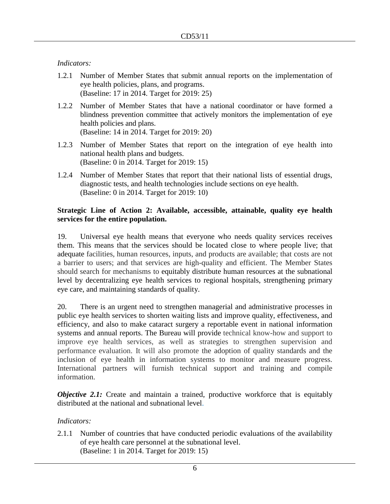#### *Indicators:*

- 1.2.1 Number of Member States that submit annual reports on the implementation of eye health policies, plans, and programs. (Baseline: 17 in 2014. Target for 2019: 25)
- 1.2.2 Number of Member States that have a national coordinator or have formed a blindness prevention committee that actively monitors the implementation of eye health policies and plans. (Baseline: 14 in 2014. Target for 2019: 20)
- 1.2.3 Number of Member States that report on the integration of eye health into national health plans and budgets. (Baseline: 0 in 2014. Target for 2019: 15)
- 1.2.4 Number of Member States that report that their national lists of essential drugs, diagnostic tests, and health technologies include sections on eye health. (Baseline: 0 in 2014. Target for 2019: 10)

#### **Strategic Line of Action 2: Available, accessible, attainable, quality eye health services for the entire population.**

19. Universal eye health means that everyone who needs quality services receives them. This means that the services should be located close to where people live; that adequate facilities, human resources, inputs, and products are available; that costs are not a barrier to users; and that services are high-quality and efficient. The Member States should search for mechanisms to equitably distribute human resources at the subnational level by decentralizing eye health services to regional hospitals, strengthening primary eye care, and maintaining standards of quality.

20. There is an urgent need to strengthen managerial and administrative processes in public eye health services to shorten waiting lists and improve quality, effectiveness, and efficiency, and also to make cataract surgery a reportable event in national information systems and annual reports. The Bureau will provide technical know-how and support to improve eye health services, as well as strategies to strengthen supervision and performance evaluation. It will also promote the adoption of quality standards and the inclusion of eye health in information systems to monitor and measure progress. International partners will furnish technical support and training and compile information.

*Objective* 2.1: Create and maintain a trained, productive workforce that is equitably distributed at the national and subnational level.

#### *Indicators:*

2.1.1 Number of countries that have conducted periodic evaluations of the availability of eye health care personnel at the subnational level. (Baseline: 1 in 2014. Target for 2019: 15)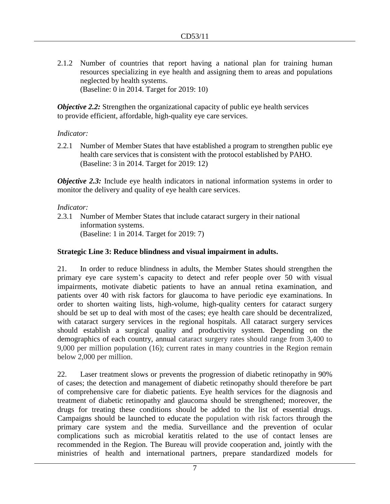2.1.2 Number of countries that report having a national plan for training human resources specializing in eye health and assigning them to areas and populations neglected by health systems. (Baseline: 0 in 2014. Target for 2019: 10)

*Objective 2.2:* Strengthen the organizational capacity of public eye health services to provide efficient, affordable, high-quality eye care services.

#### *Indicator:*

2.2.1 Number of Member States that have established a program to strengthen public eye health care services that is consistent with the protocol established by PAHO. (Baseline: 3 in 2014. Target for 2019: 12)

*Objective 2.3:* Include eye health indicators in national information systems in order to monitor the delivery and quality of eye health care services.

#### *Indicator:*

2.3.1 Number of Member States that include cataract surgery in their national information systems. (Baseline: 1 in 2014. Target for 2019: 7)

#### **Strategic Line 3: Reduce blindness and visual impairment in adults.**

21. In order to reduce blindness in adults, the Member States should strengthen the primary eye care system's capacity to detect and refer people over 50 with visual impairments, motivate diabetic patients to have an annual retina examination, and patients over 40 with risk factors for glaucoma to have periodic eye examinations. In order to shorten waiting lists, high-volume, high-quality centers for cataract surgery should be set up to deal with most of the cases; eye health care should be decentralized, with cataract surgery services in the regional hospitals. All cataract surgery services should establish a surgical quality and productivity system. Depending on the demographics of each country, annual cataract surgery rates should range from 3,400 to 9,000 per million population (16); current rates in many countries in the Region remain below 2,000 per million.

22. Laser treatment slows or prevents the progression of diabetic retinopathy in 90% of cases; the detection and management of diabetic retinopathy should therefore be part of comprehensive care for diabetic patients. Eye health services for the diagnosis and treatment of diabetic retinopathy and glaucoma should be strengthened; moreover, the drugs for treating these conditions should be added to the list of essential drugs. Campaigns should be launched to educate the population with risk factors through the primary care system and the media. Surveillance and the prevention of ocular complications such as microbial keratitis related to the use of contact lenses are recommended in the Region. The Bureau will provide cooperation and, jointly with the ministries of health and international partners, prepare standardized models for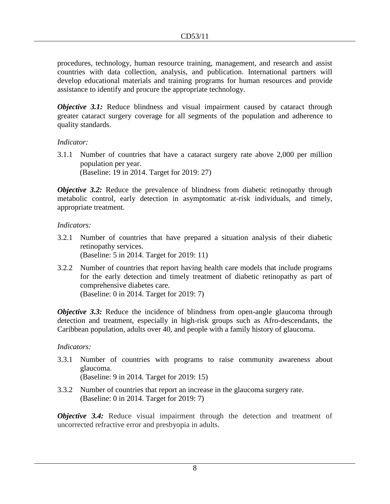procedures, technology, human resource training, management, and research and assist countries with data collection, analysis, and publication. International partners will develop educational materials and training programs for human resources and provide assistance to identify and procure the appropriate technology.

*Objective* 3.1: Reduce blindness and visual impairment caused by cataract through greater cataract surgery coverage for all segments of the population and adherence to quality standards.

#### *Indicator:*

3.1.1 Number of countries that have a cataract surgery rate above 2,000 per million population per year. (Baseline: 19 in 2014. Target for 2019: 27)

*Objective 3.2:* Reduce the prevalence of blindness from diabetic retinopathy through metabolic control, early detection in asymptomatic at-risk individuals, and timely, appropriate treatment.

#### *Indicators:*

- 3.2.1 Number of countries that have prepared a situation analysis of their diabetic retinopathy services. (Baseline: 5 in 2014. Target for 2019: 11)
- 3.2.2 Number of countries that report having health care models that include programs for the early detection and timely treatment of diabetic retinopathy as part of comprehensive diabetes care. (Baseline: 0 in 2014. Target for 2019: 7)

*Objective* 3.3: Reduce the incidence of blindness from open-angle glaucoma through detection and treatment, especially in high-risk groups such as Afro-descendants, the Caribbean population, adults over 40, and people with a family history of glaucoma.

#### *Indicators:*

- 3.3.1 Number of countries with programs to raise community awareness about glaucoma. (Baseline: 9 in 2014. Target for 2019: 15)
- 3.3.2 Number of countries that report an increase in the glaucoma surgery rate. (Baseline: 0 in 2014. Target for 2019: 7)

*Objective* 3.4: Reduce visual impairment through the detection and treatment of uncorrected refractive error and presbyopia in adults.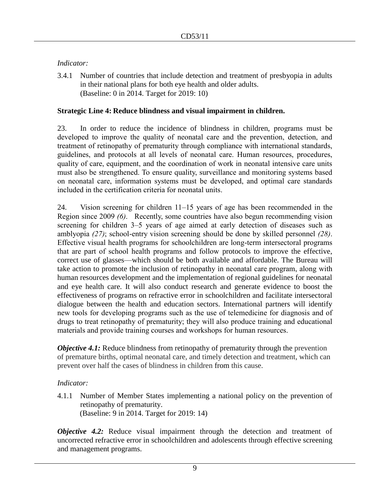### *Indicator:*

3.4.1 Number of countries that include detection and treatment of presbyopia in adults in their national plans for both eye health and older adults. (Baseline: 0 in 2014. Target for 2019: 10)

### **Strategic Line 4: Reduce blindness and visual impairment in children.**

23. In order to reduce the incidence of blindness in children, programs must be developed to improve the quality of neonatal care and the prevention, detection, and treatment of retinopathy of prematurity through compliance with international standards, guidelines, and protocols at all levels of neonatal care. Human resources, procedures, quality of care, equipment, and the coordination of work in neonatal intensive care units must also be strengthened. To ensure quality, surveillance and monitoring systems based on neonatal care, information systems must be developed, and optimal care standards included in the certification criteria for neonatal units.

24. Vision screening for children 11–15 years of age has been recommended in the Region since 2009 *(6)*. Recently, some countries have also begun recommending vision screening for children 3–5 years of age aimed at early detection of diseases such as amblyopia *(27)*; school-entry vision screening should be done by skilled personnel *(28)*. Effective visual health programs for schoolchildren are long-term intersectoral programs that are part of school health programs and follow protocols to improve the effective, correct use of glasses––which should be both available and affordable. The Bureau will take action to promote the inclusion of retinopathy in neonatal care program, along with human resources development and the implementation of regional guidelines for neonatal and eye health care. It will also conduct research and generate evidence to boost the effectiveness of programs on refractive error in schoolchildren and facilitate intersectoral dialogue between the health and education sectors. International partners will identify new tools for developing programs such as the use of telemedicine for diagnosis and of drugs to treat retinopathy of prematurity; they will also produce training and educational materials and provide training courses and workshops for human resources.

*Objective 4.1:* Reduce blindness from retinopathy of prematurity through the prevention of premature births, optimal neonatal care, and timely detection and treatment, which can prevent over half the cases of blindness in children from this cause.

#### *Indicator:*

4.1.1 Number of Member States implementing a national policy on the prevention of retinopathy of prematurity. (Baseline: 9 in 2014. Target for 2019: 14)

*Objective* 4.2: Reduce visual impairment through the detection and treatment of uncorrected refractive error in schoolchildren and adolescents through effective screening and management programs.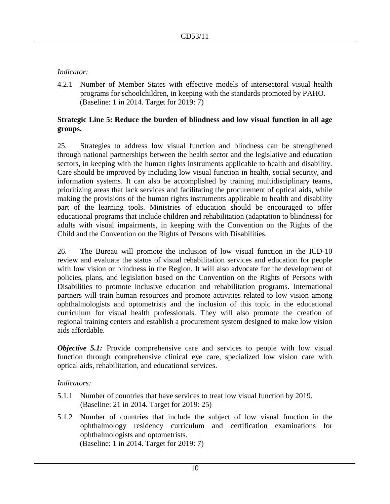#### *Indicator:*

4.2.1 Number of Member States with effective models of intersectoral visual health programs for schoolchildren, in keeping with the standards promoted by PAHO. (Baseline: 1 in 2014. Target for 2019: 7)

#### **Strategic Line 5: Reduce the burden of blindness and low visual function in all age groups.**

25. Strategies to address low visual function and blindness can be strengthened through national partnerships between the health sector and the legislative and education sectors, in keeping with the human rights instruments applicable to health and disability. Care should be improved by including low visual function in health, social security, and information systems. It can also be accomplished by training multidisciplinary teams, prioritizing areas that lack services and facilitating the procurement of optical aids, while making the provisions of the human rights instruments applicable to health and disability part of the learning tools. Ministries of education should be encouraged to offer educational programs that include children and rehabilitation (adaptation to blindness) for adults with visual impairments, in keeping with the Convention on the Rights of the Child and the Convention on the Rights of Persons with Disabilities.

26. The Bureau will promote the inclusion of low visual function in the ICD-10 review and evaluate the status of visual rehabilitation services and education for people with low vision or blindness in the Region. It will also advocate for the development of policies, plans, and legislation based on the Convention on the Rights of Persons with Disabilities to promote inclusive education and rehabilitation programs. International partners will train human resources and promote activities related to low vision among ophthalmologists and optometrists and the inclusion of this topic in the educational curriculum for visual health professionals. They will also promote the creation of regional training centers and establish a procurement system designed to make low vision aids affordable.

*Objective* 5.1: Provide comprehensive care and services to people with low visual function through comprehensive clinical eye care, specialized low vision care with optical aids, rehabilitation, and educational services.

#### *Indicators:*

- 5.1.1 Number of countries that have services to treat low visual function by 2019. (Baseline: 21 in 2014. Target for 2019: 25)
- 5.1.2 Number of countries that include the subject of low visual function in the ophthalmology residency curriculum and certification examinations for ophthalmologists and optometrists. (Baseline: 1 in 2014. Target for 2019: 7)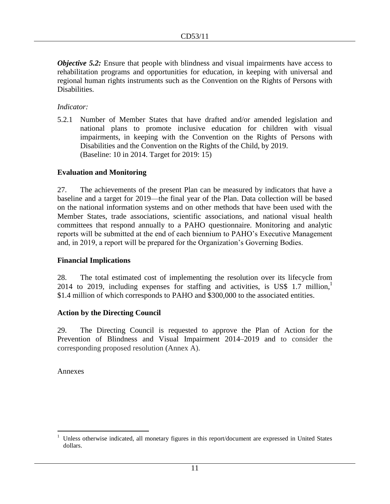*Objective* 5.2: Ensure that people with blindness and visual impairments have access to rehabilitation programs and opportunities for education, in keeping with universal and regional human rights instruments such as the Convention on the Rights of Persons with Disabilities.

#### *Indicator:*

5.2.1 Number of Member States that have drafted and/or amended legislation and national plans to promote inclusive education for children with visual impairments, in keeping with the Convention on the Rights of Persons with Disabilities and the Convention on the Rights of the Child, by 2019. (Baseline: 10 in 2014. Target for 2019: 15)

### **Evaluation and Monitoring**

27. The achievements of the present Plan can be measured by indicators that have a baseline and a target for 2019––the final year of the Plan. Data collection will be based on the national information systems and on other methods that have been used with the Member States, trade associations, scientific associations, and national visual health committees that respond annually to a PAHO questionnaire. Monitoring and analytic reports will be submitted at the end of each biennium to PAHO's Executive Management and, in 2019, a report will be prepared for the Organization's Governing Bodies.

#### **Financial Implications**

28. The total estimated cost of implementing the resolution over its lifecycle from 2014 to 2019, including expenses for staffing and activities, is US\$ 1.7 million, $\frac{1}{1}$ \$1.4 million of which corresponds to PAHO and \$300,000 to the associated entities.

#### **Action by the Directing Council**

29. The Directing Council is requested to approve the Plan of Action for the Prevention of Blindness and Visual Impairment 2014–2019 and to consider the corresponding proposed resolution (Annex A).

Annexes

 $\overline{a}$ <sup>1</sup> Unless otherwise indicated, all monetary figures in this report/document are expressed in United States dollars.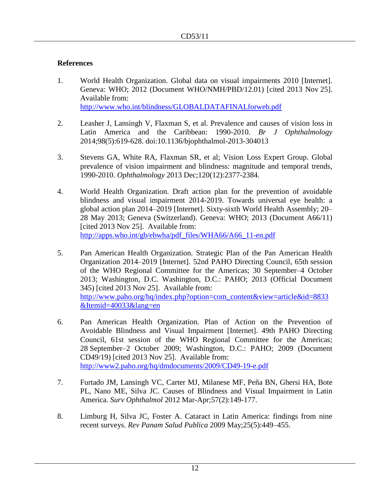#### **References**

- 1. World Health Organization. Global data on visual impairments 2010 [Internet]. Geneva: WHO; 2012 (Document WHO/NMH/PBD/12.01) [cited 2013 Nov 25]. Available from: <http://www.who.int/blindness/GLOBALDATAFINALforweb.pdf>
- 2. Leasher J, Lansingh V, Flaxman S, et al. Prevalence and causes of vision loss in Latin America and the Caribbean: 1990-2010. *Br J Ophthalmology*  2014;98(5):619-628. doi:10.1136/bjophthalmol-2013-304013
- 3. [Stevens GA,](http://www.ncbi.nlm.nih.gov/pubmed?term=Stevens%20GA%5BAuthor%5D&cauthor=true&cauthor_uid=23850093) [White RA,](http://www.ncbi.nlm.nih.gov/pubmed?term=White%20RA%5BAuthor%5D&cauthor=true&cauthor_uid=23850093) [Flaxman SR,](http://www.ncbi.nlm.nih.gov/pubmed?term=Flaxman%20SR%5BAuthor%5D&cauthor=true&cauthor_uid=23850093) et al; [Vision Loss Expert Group.](http://www.ncbi.nlm.nih.gov/pubmed?term=Vision%20Loss%20Expert%20Group%5BCorporate%20Author%5D) Global prevalence of vision impairment and blindness: magnitude and temporal trends, 1990-2010. *[Ophthalmology](http://www.ncbi.nlm.nih.gov/pubmed/23850093)* 2013 Dec;120(12):2377-2384.
- 4. World Health Organization. Draft action plan for the prevention of avoidable blindness and visual impairment 2014-2019. Towards universal eye health: a global action plan 2014–2019 [Internet]. Sixty-sixth World Health Assembly; 20– 28 May 2013; Geneva (Switzerland). Geneva: WHO; 2013 (Document A66/11) [cited 2013 Nov 25]. Available from: [http://apps.who.int/gb/ebwha/pdf\\_files/WHA66/A66\\_11-en.pdf](http://apps.who.int/gb/ebwha/pdf_files/WHA66/A66_11-en.pdf)
- 5. Pan American Health Organization. Strategic Plan of the Pan American Health Organization 2014–2019 [Internet]. 52nd PAHO Directing Council, 65th session of the WHO Regional Committee for the Americas; 30 September–4 October 2013; Washington, D.C. Washington, D.C.: PAHO; 2013 (Official Document 345) [cited 2013 Nov 25]. Available from: [http://www.paho.org/hq/index.php?option=com\\_content&view=article&id=8833](http://www.paho.org/hq/index.php?option=com_content&view=article&id=8833&Itemid=40033&lang=en) [&Itemid=40033&lang=en](http://www.paho.org/hq/index.php?option=com_content&view=article&id=8833&Itemid=40033&lang=en)
- 6. Pan American Health Organization. Plan of Action on the Prevention of Avoidable Blindness and Visual Impairment [Internet]. 49th PAHO Directing Council, 61st session of the WHO Regional Committee for the Americas; 28 September–2 October 2009; Washington, D.C.: PAHO; 2009 (Document CD49/19) [cited 2013 Nov 25]. Available from: <http://www2.paho.org/hq/dmdocuments/2009/CD49-19-e.pdf>
- 7. [Furtado JM,](http://www.ncbi.nlm.nih.gov/pubmed?term=%22Furtado%20JM%22%5BAuthor%5D) [Lansingh VC,](http://www.ncbi.nlm.nih.gov/pubmed?term=%22Lansingh%20VC%22%5BAuthor%5D) [Carter MJ,](http://www.ncbi.nlm.nih.gov/pubmed?term=%22Carter%20MJ%22%5BAuthor%5D) [Milanese MF,](http://www.ncbi.nlm.nih.gov/pubmed?term=%22Milanese%20MF%22%5BAuthor%5D) [Peña BN,](http://www.ncbi.nlm.nih.gov/pubmed?term=%22Pe%C3%B1a%20BN%22%5BAuthor%5D) [Ghersi HA,](http://www.ncbi.nlm.nih.gov/pubmed?term=%22Ghersi%20HA%22%5BAuthor%5D) [Bote](http://www.ncbi.nlm.nih.gov/pubmed?term=%22Bote%20PL%22%5BAuthor%5D)  [PL,](http://www.ncbi.nlm.nih.gov/pubmed?term=%22Bote%20PL%22%5BAuthor%5D) [Nano ME,](http://www.ncbi.nlm.nih.gov/pubmed?term=%22Nano%20ME%22%5BAuthor%5D) [Silva JC.](http://www.ncbi.nlm.nih.gov/pubmed?term=%22Silva%20JC%22%5BAuthor%5D) Causes of Blindness and Visual Impairment in Latin America. *[Surv Ophthalmol](http://www.ncbi.nlm.nih.gov/pubmed/22137039##)* 2012 Mar-Apr;57(2):149-177.
- 8. Limburg H, Silva JC, Foster A. Cataract in Latin America: findings from nine recent surveys. *Rev Panam Salud Publica* 2009 May;25(5):449–455.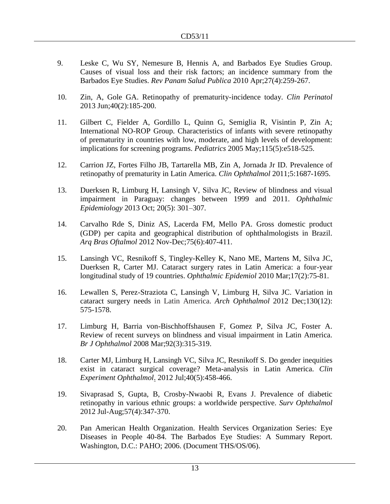- 9. Leske C, Wu SY, Nemesure B, Hennis A, and Barbados Eye Studies Group. Causes of visual loss and their risk factors; an incidence summary from the Barbados Eye Studies. *Rev Panam Salud Publica* 2010 Apr;27(4):259-267.
- 10. Zin, A, Gole GA. Retinopathy of prematurity-incidence today. *Clin Perinatol* 2013 Jun;40(2):185-200.
- 11. Gilbert C, Fielder A, Gordillo L, Quinn G, Semiglia R, Visintin P, Zin A; International NO-ROP Group. [Characteristics of infants with severe retinopathy](http://www.ncbi.nlm.nih.gov/pubmed/15805336)  [of prematurity in countries with low, moderate, and high levels of development:](http://www.ncbi.nlm.nih.gov/pubmed/15805336)  [implications for screening programs.](http://www.ncbi.nlm.nih.gov/pubmed/15805336) *Pediatrics* 2005 May;115(5):e518-525.
- 12. [Carrion JZ,](http://www.ncbi.nlm.nih.gov/pubmed?term=Carrion%20JZ%5BAuthor%5D&cauthor=true&cauthor_uid=22174577) [Fortes Filho JB,](http://www.ncbi.nlm.nih.gov/pubmed?term=Fortes%20Filho%20JB%5BAuthor%5D&cauthor=true&cauthor_uid=22174577) [Tartarella MB,](http://www.ncbi.nlm.nih.gov/pubmed?term=Tartarella%20MB%5BAuthor%5D&cauthor=true&cauthor_uid=22174577) [Zin A,](http://www.ncbi.nlm.nih.gov/pubmed?term=Zin%20A%5BAuthor%5D&cauthor=true&cauthor_uid=22174577) [Jornada Jr ID.](http://www.ncbi.nlm.nih.gov/pubmed?term=Jornada%20Jr%20ID%5BAuthor%5D&cauthor=true&cauthor_uid=22174577) Prevalence of retinopathy of prematurity in Latin America. *[Clin Ophthalmol](http://www.ncbi.nlm.nih.gov/pubmed?term=%22Clinical+ophthalmology+%28Auckland%2C+N.Z.%29%22%5BJour%5D+AND+Carrion%5Bauthor%5D&cmd=detailssearch)* 2011;5:1687-1695.
- 13. Duerksen R, Limburg H, Lansingh V, Silva JC, Review of blindness and visual impairment in Paraguay: changes between 1999 and 2011. *Ophthalmic Epidemiology* 2013 Oct; 20(5): 301–307.
- 14. Carvalho Rde S, Diniz AS, Lacerda FM, Mello PA. Gross domestic product (GDP) per capita and geographical distribution of ophthalmologists in Brazil. *Arq Bras Oftalmol* 2012 Nov-Dec;75(6):407-411.
- 15. [Lansingh VC,](http://www.ncbi.nlm.nih.gov/pubmed?term=%22Lansingh%20VC%22%5BAuthor%5D) [Resnikoff S,](http://www.ncbi.nlm.nih.gov/pubmed?term=%22Resnikoff%20S%22%5BAuthor%5D) [Tingley-Kelley K,](http://www.ncbi.nlm.nih.gov/pubmed?term=%22Tingley-Kelley%20K%22%5BAuthor%5D) [Nano ME,](http://www.ncbi.nlm.nih.gov/pubmed?term=%22Nano%20ME%22%5BAuthor%5D) [Martens M,](http://www.ncbi.nlm.nih.gov/pubmed?term=%22Martens%20M%22%5BAuthor%5D) [Silva JC,](http://www.ncbi.nlm.nih.gov/pubmed?term=%22Silva%20JC%22%5BAuthor%5D) [Duerksen R,](http://www.ncbi.nlm.nih.gov/pubmed?term=%22Duerksen%20R%22%5BAuthor%5D) [Carter MJ.](http://www.ncbi.nlm.nih.gov/pubmed?term=%22Carter%20MJ%22%5BAuthor%5D) Cataract surgery rates in Latin America: a four-year longitudinal study of 19 countries. *[Ophthalmic Epidemiol](javascript:AL_get(this,%20)* 2010 Mar;17(2):75-81.
- 16. Lewallen S, Perez-Straziota C, Lansingh V, Limburg H, Silva JC. Variation in cataract surgery needs in Latin America. *Arch Ophthalmol* 2012 Dec;130(12): 575-1578.
- 17. Limburg H, Barria von-Bischhoffshausen F, Gomez P, Silva JC, Foster A. Review of recent surveys on blindness and visual impairment in Latin America. *Br J Ophthalmol* 2008 Mar;92(3):315-319.
- 18. Carter MJ, Limburg H, Lansingh VC, Silva JC, Resnikoff S. [Do gender inequities](http://www.ncbi.nlm.nih.gov/pubmed/22004334)  [exist in cataract surgical coverage? Meta-analysis in Latin America.](http://www.ncbi.nlm.nih.gov/pubmed/22004334) *[Clin](http://www.ncbi.nlm.nih.gov/pubmed?term=Carter+MJ%5Bauthor%5D+AND+Gender&TransSchema=title&cmd=detailssearch)  [Experiment Ophthalmol](http://www.ncbi.nlm.nih.gov/pubmed?term=Carter+MJ%5Bauthor%5D+AND+Gender&TransSchema=title&cmd=detailssearch)*. 2012 Jul;40(5):458-466.
- 19. Sivaprasad S, Gupta, B, Crosby-Nwaobi R, Evans J. Prevalence of diabetic retinopathy in various ethnic groups: a worldwide perspective. *[Surv Ophthalmol](http://www.ncbi.nlm.nih.gov/pubmed/22542913)* 2012 Jul-Aug;57(4):347-370.
- 20. Pan American Health Organization. Health Services Organization Series: Eye Diseases in People 40-84. The Barbados Eye Studies: A Summary Report. Washington, D.C.: PAHO; 2006. (Document THS/OS/06).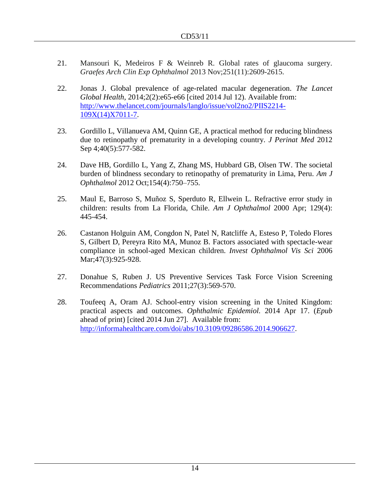- 21. Mansouri K, Medeiros F & Weinreb R. Global rates of glaucoma surgery. *Graefes Arch Clin Exp Ophthalmol* 2013 Nov;251(11):2609-2615.
- 22. Jonas J. Global prevalence of age-related macular degeneration. *The Lancet Global Health*, 2014;2(2):e65-e66 [cited 2014 Jul 12). Available from: [http://www.thelancet.com/journals/langlo/issue/vol2no2/PIIS2214-](http://www.thelancet.com/journals/langlo/issue/vol2no2/PIIS2214-109X(14)X7011-7) [109X\(14\)X7011-7.](http://www.thelancet.com/journals/langlo/issue/vol2no2/PIIS2214-109X(14)X7011-7)
- 23. Gordillo L, Villanueva AM, Quinn GE, A practical method for reducing blindness due to retinopathy of prematurity in a developing country. *J Perinat Med* 2012 Sep 4;40(5):577-582.
- 24. Dave HB, Gordillo L, Yang Z, Zhang MS, Hubbard GB, Olsen TW. The societal burden of blindness secondary to retinopathy of prematurity in Lima, Peru. *Am J Ophthalmol* 2012 Oct;154(4):750–755.
- 25. Maul E, Barroso S, Muñoz S, Sperduto R, Ellwein L. Refractive error study in children: results from La Florida, Chile. *Am J Ophthalmol* 2000 Apr; 129(4): 445-454.
- 26. Castanon Holguin AM, Congdon N, Patel N, Ratcliffe A, Esteso P, Toledo Flores S, Gilbert D, Pereyra Rito MA, Munoz B. [Factors associated with spectacle-wear](http://www.ncbi.nlm.nih.gov/pubmed/16505025)  [compliance in school-aged Mexican children.](http://www.ncbi.nlm.nih.gov/pubmed/16505025) *Invest Ophthalmol Vis Sci* 2006 Mar; 47(3): 925-928.
- 27. [Donahue](http://pediatrics.aappublications.org/search?author1=Sean+P.+Donahue&sortspec=date&submit=Submit) S, [Ruben](http://pediatrics.aappublications.org/search?author1=James+B.+Ruben&sortspec=date&submit=Submit) J. US Preventive Services Task Force Vision Screening Recommendations *Pediatrics* 2011;27(3):569-570.
- 28. [Toufeeq A,](http://www.ncbi.nlm.nih.gov/pubmed?term=Toufeeq%20A%5BAuthor%5D&cauthor=true&cauthor_uid=24742060) [Oram AJ.](http://www.ncbi.nlm.nih.gov/pubmed?term=Oram%20AJ%5BAuthor%5D&cauthor=true&cauthor_uid=24742060) School-entry vision screening in the United Kingdom: practical aspects and outcomes. *[Ophthalmic Epidemiol.](http://www.ncbi.nlm.nih.gov/pubmed?term=Toufeeq+A%5Bauthor%5D+AND+School-entry+Vision+Screening&TransSchema=title&cmd=detailssearch)* 2014 Apr 17. (*Epub*  ahead of print) [cited 2014 Jun 27]. Available from: [http://informahealthcare.com/doi/abs/10.3109/09286586.2014.906627.](http://informahealthcare.com/doi/abs/10.3109/09286586.2014.906627)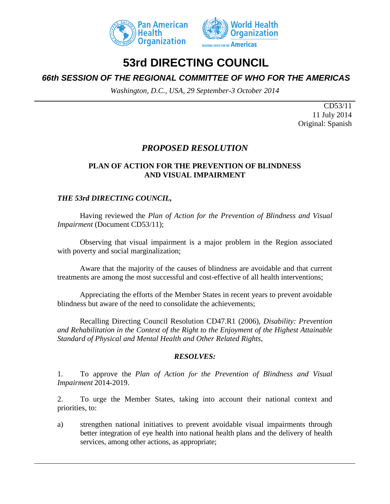



# **53rd DIRECTING COUNCIL**

# *66th SESSION OF THE REGIONAL COMMITTEE OF WHO FOR THE AMERICAS*

*Washington, D.C., USA, 29 September-3 October 2014*

CD53/11 11 July 2014 Original: Spanish

# *PROPOSED RESOLUTION*

## **PLAN OF ACTION FOR THE PREVENTION OF BLINDNESS AND VISUAL IMPAIRMENT**

## *THE 53rd DIRECTING COUNCIL,*

Having reviewed the *Plan of Action for the Prevention of Blindness and Visual Impairment* (Document CD53/11);

Observing that visual impairment is a major problem in the Region associated with poverty and social marginalization;

Aware that the majority of the causes of blindness are avoidable and that current treatments are among the most successful and cost-effective of all health interventions;

Appreciating the efforts of the Member States in recent years to prevent avoidable blindness but aware of the need to consolidate the achievements;

Recalling Directing Council Resolution CD47.R1 (2006), *Disability: Prevention and Rehabilitation in the Context of the Right to the Enjoyment of the Highest Attainable Standard of Physical and Mental Health and Other Related Rights,*

#### *RESOLVES:*

1. To approve the *Plan of Action for the Prevention of Blindness and Visual Impairment* 2014-2019.

2. To urge the Member States, taking into account their national context and priorities, to:

a) strengthen national initiatives to prevent avoidable visual impairments through better integration of eye health into national health plans and the delivery of health services, among other actions, as appropriate;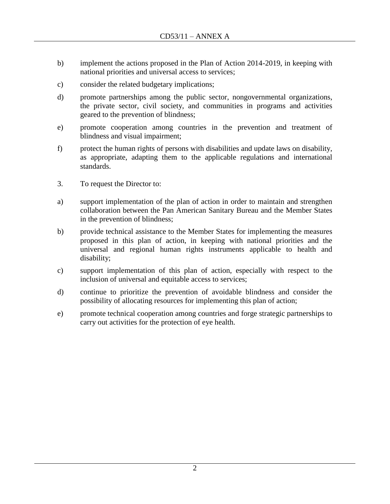- b) implement the actions proposed in the Plan of Action 2014-2019, in keeping with national priorities and universal access to services;
- c) consider the related budgetary implications;
- d) promote partnerships among the public sector, nongovernmental organizations, the private sector, civil society, and communities in programs and activities geared to the prevention of blindness;
- e) promote cooperation among countries in the prevention and treatment of blindness and visual impairment;
- f) protect the human rights of persons with disabilities and update laws on disability, as appropriate, adapting them to the applicable regulations and international standards.
- 3. To request the Director to:
- a) support implementation of the plan of action in order to maintain and strengthen collaboration between the Pan American Sanitary Bureau and the Member States in the prevention of blindness;
- b) provide technical assistance to the Member States for implementing the measures proposed in this plan of action, in keeping with national priorities and the universal and regional human rights instruments applicable to health and disability;
- c) support implementation of this plan of action, especially with respect to the inclusion of universal and equitable access to services;
- d) continue to prioritize the prevention of avoidable blindness and consider the possibility of allocating resources for implementing this plan of action;
- e) promote technical cooperation among countries and forge strategic partnerships to carry out activities for the protection of eye health.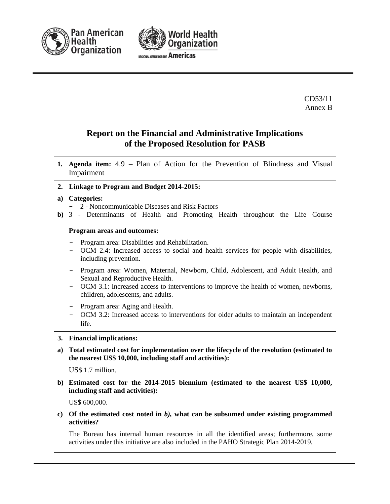



CD53/11 Annex B

# **Report on the Financial and Administrative Implications of the Proposed Resolution for PASB**

- **1. Agenda item:** 4.9 Plan of Action for the Prevention of Blindness and Visual Impairment
- **2. Linkage to Program and Budget 2014-2015:**

#### **a) Categories:**

- **-** 2 Noncommunicable Diseases and Risk Factors
- **b)** 3 Determinants of Health and Promoting Health throughout the Life Course

#### **Program areas and outcomes:**

- Program area: Disabilities and Rehabilitation.
- OCM 2.4: Increased access to social and health services for people with disabilities, including prevention.
- Program area: Women, Maternal, Newborn, Child, Adolescent, and Adult Health, and Sexual and Reproductive Health.
- OCM 3.1: Increased access to interventions to improve the health of women, newborns, children, adolescents, and adults.
- Program area: Aging and Health.
- OCM 3.2: Increased access to interventions for older adults to maintain an independent life.

#### **3. Financial implications:**

**a) Total estimated cost for implementation over the lifecycle of the resolution (estimated to the nearest US\$ 10,000, including staff and activities):**

US\$ 1.7 million.

**b) Estimated cost for the 2014-2015 biennium (estimated to the nearest US\$ 10,000, including staff and activities):** 

US\$ 600,000.

**c) Of the estimated cost noted in** *b),* **what can be subsumed under existing programmed activities?** 

The Bureau has internal human resources in all the identified areas; furthermore, some activities under this initiative are also included in the PAHO Strategic Plan 2014-2019.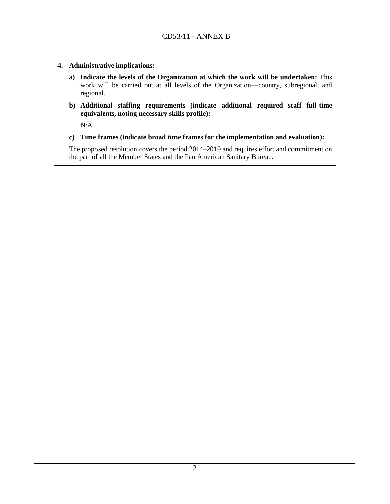- **4. Administrative implications:**
	- **a) Indicate the levels of the Organization at which the work will be undertaken:** This work will be carried out at all levels of the Organization—country, subregional, and regional.
	- **b) Additional staffing requirements (indicate additional required staff full-time equivalents, noting necessary skills profile):**

N/A.

**c) Time frames (indicate broad time frames for the implementation and evaluation):**

The proposed resolution covers the period 2014–2019 and requires effort and commitment on the part of all the Member States and the Pan American Sanitary Bureau.